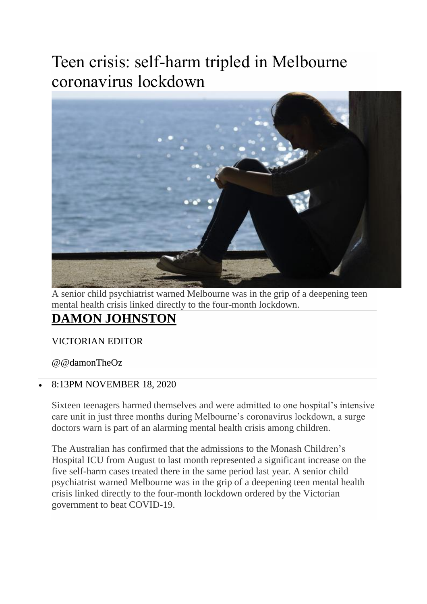## Teen crisis: self-harm tripled in Melbourne coronavirus lockdown



A senior child psychiatrist warned Melbourne was in the grip of a deepening teen mental health crisis linked directly to the four-month lockdown.

## **[DAMON JOHNSTON](https://www.theaustralian.com.au/author/Damon+Johnston)**

VICTORIAN EDITOR

[@@damonTheOz](http://twitter.com/@damonTheOz)

## • 8:13PM NOVEMBER 18, 2020

Sixteen teenagers harmed themselves and were admitted to one hospital's intensive care unit in just three months during Melbourne's coronavirus lockdown, a surge doctors warn is part of an alarming mental health crisis among children.

The Australian has confirmed that the admissions to the Monash Children's Hospital ICU from August to last month represented a significant increase on the five self-harm cases treated there in the same period last year. A senior child psychiatrist warned Melbourne was in the grip of a deepening teen mental health crisis linked directly to the four-month lockdown ordered by the Victorian government to beat COVID-19.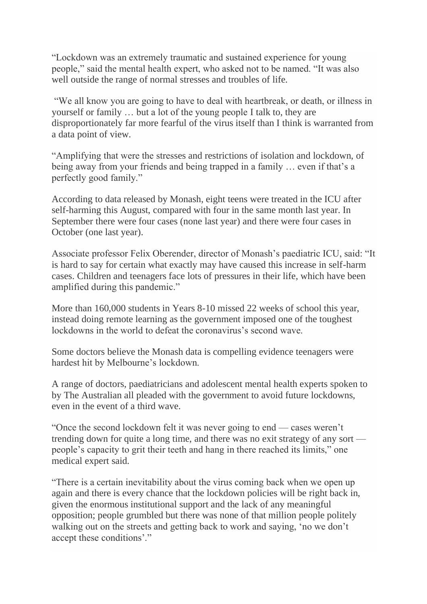"Lockdown was an extremely traumatic and sustained experience for young people," said the mental health expert, who asked not to be named. "It was also well outside the range of normal stresses and troubles of life.

"We all know you are going to have to deal with heartbreak, or death, or illness in yourself or family … but a lot of the young people I talk to, they are disproportionately far more fearful of the virus itself than I think is warranted from a data point of view.

"Amplifying that were the stresses and restrictions of isolation and lockdown, of being away from your friends and being trapped in a family … even if that's a perfectly good family."

According to data released by Monash, eight teens were treated in the ICU after self-harming this August, compared with four in the same month last year. In September there were four cases (none last year) and there were four cases in October (one last year).

Associate professor Felix Oberender, director of Monash's paediatric ICU, said: "It is hard to say for certain what exactly may have caused this increase in self-harm cases. Children and teenagers face lots of pressures in their life, which have been amplified during this pandemic."

More than 160,000 students in Years 8-10 missed 22 weeks of school this year, instead doing remote learning as the government imposed one of the toughest lockdowns in the world to defeat the coronavirus's second wave.

Some doctors believe the Monash data is compelling evidence teenagers were hardest hit by Melbourne's lockdown.

A range of doctors, paediatricians and adolescent mental health experts spoken to by The Australian all pleaded with the government to avoid future lockdowns, even in the event of a third wave.

"Once the second lockdown felt it was never going to end — cases weren't trending down for quite a long time, and there was no exit strategy of any sort people's capacity to grit their teeth and hang in there reached its limits," one medical expert said.

"There is a certain inevitability about the virus coming back when we open up again and there is every chance that the lockdown policies will be right back in, given the enormous institutional support and the lack of any meaningful opposition; people grumbled but there was none of that million people politely walking out on the streets and getting back to work and saying, 'no we don't accept these conditions'."